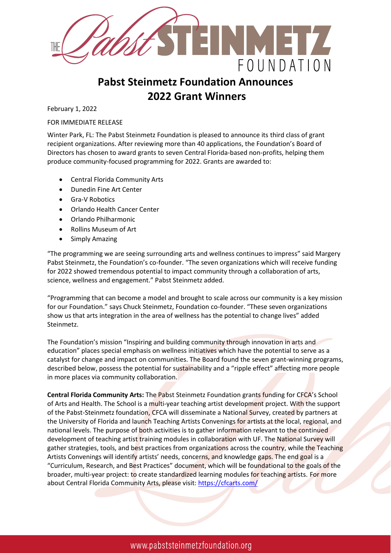

## **Pabst Steinmetz Foundation Announces 2022 Grant Winners**

February 1, 2022

FOR IMMEDIATE RELEASE

Winter Park, FL: The Pabst Steinmetz Foundation is pleased to announce its third class of grant recipient organizations. After reviewing more than 40 applications, the Foundation's Board of Directors has chosen to award grants to seven Central Florida-based non-profits, helping them produce community-focused programming for 2022. Grants are awarded to:

- Central Florida Community Arts
- Dunedin Fine Art Center
- Gra-V Robotics
- Orlando Health Cancer Center
- Orlando Philharmonic
- Rollins Museum of Art
- Simply Amazing

"The programming we are seeing surrounding arts and wellness continues to impress" said Margery Pabst Steinmetz, the Foundation's co-founder. "The seven organizations which will receive funding for 2022 showed tremendous potential to impact community through a collaboration of arts, science, wellness and engagement." Pabst Steinmetz added.

"Programming that can become a model and brought to scale across our community is a key mission for our Foundation." says Chuck Steinmetz, Foundation co-founder. "These seven organizations show us that arts integration in the area of wellness has the potential to change lives" added Steinmetz.

The Foundation's mission "Inspiring and building community through innovation in arts and education" places special emphasis on wellness initiatives which have the potential to serve as a catalyst for change and impact on communities. The Board found the seven grant-winning programs, described below, possess the potential for sustainability and a "ripple effect" affecting more people in more places via community collaboration.

**Central Florida Community Arts:** The Pabst Steinmetz Foundation grants funding for CFCA's School of Arts and Health. The School is a multi-year teaching artist development project. With the support of the Pabst-Steinmetz foundation, CFCA will disseminate a National Survey, created by partners at the University of Florida and launch Teaching Artists Convenings for artists at the local, regional, and national levels. The purpose of both activities is to gather information relevant to the continued development of teaching artist training modules in collaboration with UF. The National Survey will gather strategies, tools, and best practices from organizations across the country, while the Teaching Artists Convenings will identify artists' needs, concerns, and knowledge gaps. The end goal is a "Curriculum, Research, and Best Practices" document, which will be foundational to the goals of the broader, multi-year project: to create standardized learning modules for teaching artists. For more about Central Florida Community Arts, please visit[: https://cfcarts.com/](https://cfcarts.com/)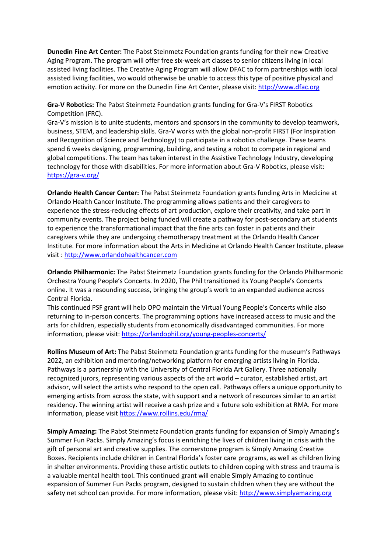**Dunedin Fine Art Center:** The Pabst Steinmetz Foundation grants funding for their new Creative Aging Program. The program will offer free six-week art classes to senior citizens living in local assisted living facilities. The Creative Aging Program will allow DFAC to form partnerships with local assisted living facilities, wo would otherwise be unable to access this type of positive physical and emotion activity. For more on the Dunedin Fine Art Center, please visit: [http://www.dfac.org](http://www.dfac.org/)

**Gra-V Robotics:** The Pabst Steinmetz Foundation grants funding for Gra-V's FIRST Robotics Competition (FRC).

Gra-V's mission is to unite students, mentors and sponsors in the community to develop teamwork, business, STEM, and leadership skills. Gra-V works with the global non-profit FIRST (For Inspiration and Recognition of Science and Technology) to participate in a robotics challenge. These teams spend 6 weeks designing, programming, building, and testing a robot to compete in regional and global competitions. The team has taken interest in the Assistive Technology Industry, developing technology for those with disabilities. For more information about Gra-V Robotics, please visit: <https://gra-v.org/>

**Orlando Health Cancer Center:** The Pabst Steinmetz Foundation grants funding Arts in Medicine at Orlando Health Cancer Institute. The programming allows patients and their caregivers to experience the stress-reducing effects of art production, explore their creativity, and take part in community events. The project being funded will create a pathway for post-secondary art students to experience the transformational impact that the fine arts can foster in patients and their caregivers while they are undergoing chemotherapy treatment at the Orlando Health Cancer Institute. For more information about the Arts in Medicine at Orlando Health Cancer Institute, please visit : [http://www.orlandohealthcancer.com](http://www.orlandohealthcancer.com/)

**Orlando Philharmonic:** The Pabst Steinmetz Foundation grants funding for the Orlando Philharmonic Orchestra Young People's Concerts. In 2020, The Phil transitioned its Young People's Concerts online. It was a resounding success, bringing the group's work to an expanded audience across Central Florida.

This continued PSF grant will help OPO maintain the Virtual Young People's Concerts while also returning to in-person concerts. The programming options have increased access to music and the arts for children, especially students from economically disadvantaged communities. For more information, please visit:<https://orlandophil.org/young-peoples-concerts/>

**Rollins Museum of Art:** The Pabst Steinmetz Foundation grants funding for the museum's Pathways 2022, an exhibition and mentoring/networking platform for emerging artists living in Florida. Pathways is a partnership with the University of Central Florida Art Gallery. Three nationally recognized jurors, representing various aspects of the art world – curator, established artist, art advisor, will select the artists who respond to the open call. Pathways offers a unique opportunity to emerging artists from across the state, with support and a network of resources similar to an artist residency. The winning artist will receive a cash prize and a future solo exhibition at RMA. For more information, please visit<https://www.rollins.edu/rma/>

**Simply Amazing:** The Pabst Steinmetz Foundation grants funding for expansion of Simply Amazing's Summer Fun Packs. Simply Amazing's focus is enriching the lives of children living in crisis with the gift of personal art and creative supplies. The cornerstone program is Simply Amazing Creative Boxes. Recipients include children in Central Florida's foster care programs, as well as children living in shelter environments. Providing these artistic outlets to children coping with stress and trauma is a valuable mental health tool. This continued grant will enable Simply Amazing to continue expansion of Summer Fun Packs program, designed to sustain children when they are without the safety net school can provide. For more information, please visit[: http://www.simplyamazing.org](http://www.simplyamazing.org/)